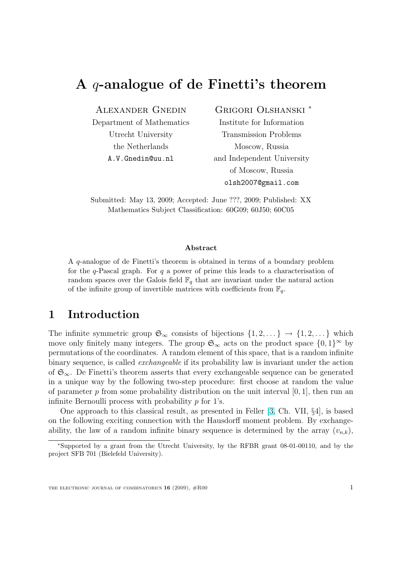# <span id="page-0-0"></span>A q-analogue of de Finetti's theorem

#### Alexander Gnedin

Department of Mathematics Utrecht University the Netherlands A.V.Gnedin@uu.nl

#### Grigori Olshanski <sup>∗</sup>

Institute for Information Transmission Problems Moscow, Russia and Independent University of Moscow, Russia olsh2007@gmail.com

Submitted: May 13, 2009; Accepted: June ???, 2009; Published: XX Mathematics Subject Classification: 60G09; 60J50; 60C05

#### Abstract

A q-analogue of de Finetti's theorem is obtained in terms of a boundary problem for the  $q$ -Pascal graph. For  $q$  a power of prime this leads to a characterisation of random spaces over the Galois field  $\mathbb{F}_q$  that are invariant under the natural action of the infinite group of invertible matrices with coefficients from  $\mathbb{F}_q$ .

# 1 Introduction

The infinite symmetric group  $\mathfrak{S}_{\infty}$  consists of bijections  $\{1, 2, \dots\} \to \{1, 2, \dots\}$  which move only finitely many integers. The group  $\mathfrak{S}_{\infty}$  acts on the product space  $\{0,1\}^{\infty}$  by permutations of the coordinates. A random element of this space, that is a random infinite binary sequence, is called *exchangeable* if its probability law is invariant under the action of  $\mathfrak{S}_{\infty}$ . De Finetti's theorem asserts that every exchangeable sequence can be generated in a unique way by the following two-step procedure: first choose at random the value of parameter p from some probability distribution on the unit interval  $[0, 1]$ , then run an infinite Bernoulli process with probability  $p$  for 1's.

One approach to this classical result, as presented in Feller [3, Ch. VII, §4], is based on the following exciting connection with the Hausdorff moment problem. By exchangeability, the law of a random infinite binary sequence is determined by the array  $(v_{n,k})$ ,

<sup>∗</sup>Supported by a grant from the Utrecht University, by the RFBR gr[an](#page-14-0)t 08-01-00110, and by the project SFB 701 (Bielefeld University).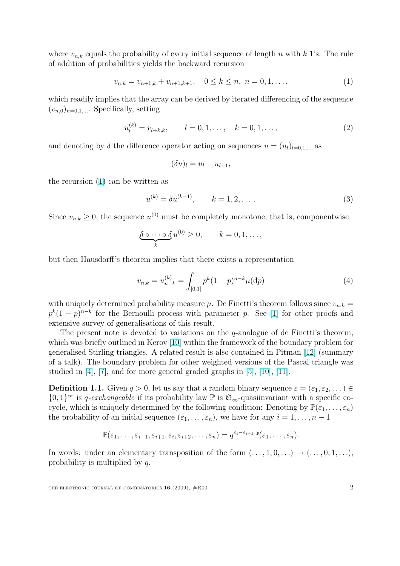<span id="page-1-0"></span>where  $v_{n,k}$  equals the probability of every initial sequence of length n with k 1's. The rule of addition of probabilities yields the backward recursion

$$
v_{n,k} = v_{n+1,k} + v_{n+1,k+1}, \quad 0 \le k \le n, \ n = 0, 1, \dots,
$$
\n<sup>(1)</sup>

which readily implies that the array can be derived by iterated differencing of the sequence  $(v_{n,0})_{n=0,1,...}$ . Specifically, setting

$$
u_l^{(k)} = v_{l+k,k}, \qquad l = 0, 1, \dots, \quad k = 0, 1, \dots,
$$
\n(2)

and denoting by  $\delta$  the difference operator acting on sequences  $u = (u_l)_{l=0,1,\dots}$  as

$$
(\delta u)_l = u_l - u_{l+1},
$$

the recursion (1) can be written as

$$
u^{(k)} = \delta u^{(k-1)}, \qquad k = 1, 2, \dots
$$
 (3)

Since  $v_{n,k} \geq 0$ , the sequence  $u^{(0)}$  must be completely monotone, that is, componentwise

$$
\underbrace{\delta \circ \cdots \circ \delta}_{k} u^{(0)} \geq 0, \qquad k = 0, 1, \ldots,
$$

but then Hausdorff's theorem implies that there exists a representation

$$
v_{n,k} = u_{n-k}^{(k)} = \int_{[0,1]} p^k (1-p)^{n-k} \mu(\mathrm{d}p) \tag{4}
$$

with uniquely determined probability measure  $\mu$ . De Finetti's theorem follows since  $v_{n,k} =$  $p^{k}(1-p)^{n-k}$  for the Bernoulli process with parameter p. See [1] for other proofs and extensive survey of generalisations of this result.

The present note is devoted to variations on the  $q$ -analogue of de Finetti's theorem, which was briefly outlined in Kerov [10] within the framework of t[he](#page-14-0) boundary problem for generalised Stirling triangles. A related result is also contained in Pitman [12] (summary of a talk). The boundary problem for other weighted versions of the Pascal triangle was studied in  $[4]$ ,  $[7]$ , and for more gen[era](#page-15-0)l graded graphs in  $[5]$ ,  $[10]$ ,  $[11]$ .

**Definition 1.1.** Given  $q > 0$ , let us say that a random binary sequence  $\varepsilon = (\varepsilon_1, \varepsilon_2, \dots) \in$  $\varepsilon = (\varepsilon_1, \varepsilon_2, \dots) \in$  $\varepsilon = (\varepsilon_1, \varepsilon_2, \dots) \in$  $\{0,1\}^{\infty}$  is q-exchangeable if its probability law  $\mathbb P$  is  $\mathfrak{S}_{\infty}$ -quasiinvariant with a specific cocycle, whic[h i](#page-14-0)s [un](#page-15-0)iquely determined by the following condi[tio](#page-14-0)n[: D](#page-15-0)e[noti](#page-15-0)ng by  $\mathbb{P}(\varepsilon_1,\ldots,\varepsilon_n)$ the probability of an initial sequence  $(\varepsilon_1, \ldots, \varepsilon_n)$ , we have for any  $i = 1, \ldots, n - 1$ 

$$
\mathbb{P}(\varepsilon_1,\ldots,\varepsilon_{i-1},\varepsilon_{i+1},\varepsilon_i,\varepsilon_{i+2},\ldots,\varepsilon_n)=q^{\varepsilon_i-\varepsilon_{i+1}}\mathbb{P}(\varepsilon_1,\ldots,\varepsilon_n).
$$

In words: under an elementary transposition of the form  $(\ldots, 1, 0, \ldots) \rightarrow (\ldots, 0, 1, \ldots)$ , probability is multiplied by q.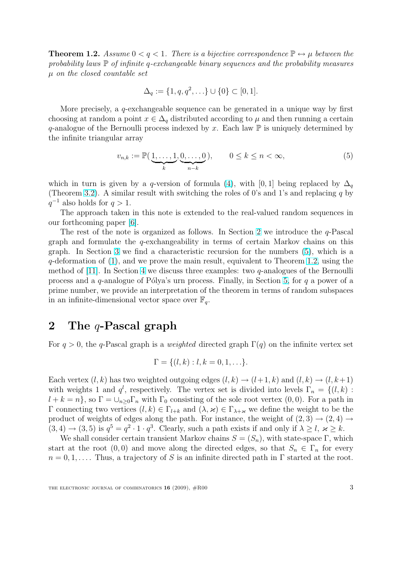<span id="page-2-0"></span>**Theorem 1.2.** Assume  $0 < q < 1$ . There is a bijective correspondence  $\mathbb{P} \leftrightarrow \mu$  between the probability laws  $\mathbb P$  of infinite q-exchangeable binary sequences and the probability measures  $\mu$  on the closed countable set

$$
\Delta_q := \{1, q, q^2, \ldots\} \cup \{0\} \subset [0, 1].
$$

More precisely, a q-exchangeable sequence can be generated in a unique way by first choosing at random a point  $x \in \Delta_q$  distributed according to  $\mu$  and then running a certain q-analogue of the Bernoulli process indexed by x. Each law  $\mathbb P$  is uniquely determined by the infinite triangular array

$$
v_{n,k} := \mathbb{P}(\underbrace{1,\ldots,1}_{k},\underbrace{0,\ldots,0}_{n-k}), \qquad 0 \le k \le n < \infty,
$$
 (5)

which in turn is given by a q-version of formula (4), with [0, 1] being replaced by  $\Delta_q$ (Theorem 3.2). A similar result with switching the roles of 0's and 1's and replacing q by  $q^{-1}$  also holds for  $q > 1$ .

The approach taken in this note is extended to [th](#page-1-0)e real-valued random sequences in our forthc[omin](#page-7-0)g paper [6].

The rest of the note is organized as follows. In Section 2 we introduce the  $q$ -Pascal graph and formulate the  $q$ -exchangeability in terms of certain Markov chains on this graph. In Section 3 w[e fi](#page-15-0)nd a characteristic recursion for the numbers (5), which is a  $q$ -deformation of  $(1)$ , and we prove the main result, equivalent to Theorem 1.2, using the method of [11]. In Section 4 we discuss three examples: two  $q$ -analogues of the Bernoulli process and a  $q$ -an[alo](#page-5-0)gue of Pólya's urn process. Finally, in Section 5, for  $q$  a power of a prime number, we [p](#page-1-0)rovide an interpretation of the theorem in terms of ran[dom](#page-1-0) subspaces in an infini[te-d](#page-15-0)imensional [ve](#page-9-0)ctor space over  $\mathbb{F}_q$ .

# 2 The q-Pascal graph

For  $q > 0$ , the q-Pascal graph is a *weighted* directed graph  $\Gamma(q)$  on the infinite vertex set

$$
\Gamma = \{ (l, k) : l, k = 0, 1, \ldots \}.
$$

Each vertex  $(l, k)$  has two weighted outgoing edges  $(l, k) \rightarrow (l+1, k)$  and  $(l, k) \rightarrow (l, k+1)$ with weights 1 and  $q^l$ , respectively. The vertex set is divided into levels  $\Gamma_n = \{(l, k) :$  $l + k = n$ , so  $\Gamma = \bigcup_{n>0} \Gamma_n$  with  $\Gamma_0$  consisting of the sole root vertex  $(0,0)$ . For a path in Γ connecting two vertices  $(l, k) \in \Gamma_{l+k}$  and  $(\lambda, \varkappa) \in \Gamma_{\lambda+\varkappa}$  we define the weight to be the product of weights of edges along the path. For instance, the weight of  $(2,3) \rightarrow (2,4) \rightarrow$  $(3, 4) \rightarrow (3, 5)$  is  $q^5 = q^2 \cdot 1 \cdot q^3$ . Clearly, such a path exists if and only if  $\lambda \geq l, \, \varkappa \geq k$ .

We shall consider certain transient Markov chains  $S = (S_n)$ , with state-space Γ, which start at the root  $(0,0)$  and move along the directed edges, so that  $S_n \in \Gamma_n$  for every  $n = 0, 1, \ldots$  Thus, a trajectory of S is an infinite directed path in  $\Gamma$  started at the root.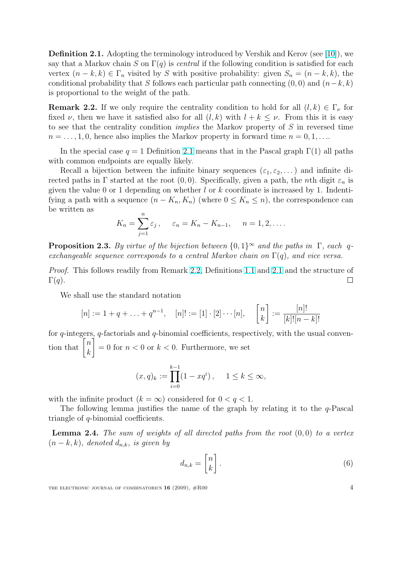Definition 2.1. Adopting the terminology introduced by Vershik and Kerov (see [10]), we say that a Markov chain S on  $\Gamma(q)$  is central if the following condition is satisfied for each vertex  $(n - k, k) \in \Gamma_n$  visited by S with positive probability: given  $S_n = (n - k, k)$ , the conditional probability that S follows each particular path connecting  $(0, 0)$  and  $(n-k, k)$ is proportional to the weight of the path.

**Remark 2.2.** If we only require the centrality condition to hold for all  $(l, k) \in \Gamma_{\nu}$  for fixed  $\nu$ , then we have it satisfied also for all  $(l, k)$  with  $l + k \leq \nu$ . From this it is easy to see that the centrality condition implies the Markov property of S in reversed time  $n = \ldots, 1, 0$ , hence also implies the Markov property in forward time  $n = 0, 1, \ldots$ 

In the special case  $q = 1$  Definition 2.1 means that in the Pascal graph  $\Gamma(1)$  all paths with common endpoints are equally likely.

Recall a bijection between the infinite binary sequences  $(\varepsilon_1, \varepsilon_2, \dots)$  and infinite directed paths in Γ started at the root  $(0, 0)$ . Specifically, given a path, the *n*th digit  $\varepsilon_n$  is given the value 0 or 1 depending on w[heth](#page-2-0)er  $l$  or  $k$  coordinate is increased by 1. Indentifying a path with a sequence  $(n - K_n, K_n)$  (where  $0 \leq K_n \leq n$ ), the correspondence can be written as

$$
K_n = \sum_{j=1}^n \varepsilon_j, \quad \varepsilon_n = K_n - K_{n-1}, \quad n = 1, 2, \dots
$$

**Proposition 2.3.** By virtue of the bijection between  $\{0,1\}^{\infty}$  and the paths in  $\Gamma$ , each qexchangeable sequence corresponds to a central Markov chain on  $\Gamma(q)$ , and vice versa.

Proof. This follows readily from Remark 2.2, Definitions 1.1 and 2.1 and the structure of  $\Gamma(q)$ .  $\Box$ 

We shall use the standard notation

$$
[n] := 1 + q + \ldots + q^{n-1}, \quad [n]! := [1] \cdot [2] \cdots [n], \quad \begin{bmatrix} n \\ k \end{bmatrix} := \frac{[n]!}{[k]![n-k]!}
$$

for  $q$ -integers,  $q$ -factorials and  $q$ -binomial coefficients, respectively, with the usual convenfor q-integers<br>tion that  $\begin{bmatrix} n \\ n \end{bmatrix}$  $\begin{bmatrix} k \\ k \end{bmatrix} = 0$  for  $n < 0$  or  $k < 0$ . Furthermore, we set

$$
(x, q)_k := \prod_{i=0}^{k-1} (1 - xq^i), \quad 1 \le k \le \infty,
$$

with the infinite product  $(k = \infty)$  considered for  $0 < q < 1$ .

The following lemma justifies the name of the graph by relating it to the  $q$ -Pascal triangle of q-binomial coefficients.

**Lemma 2.4.** The sum of weights of all directed paths from the root  $(0,0)$  to a vertex  $(n-k, k)$ , denoted  $d_{n,k}$ , is given by

$$
d_{n,k} = \begin{bmatrix} n \\ k \end{bmatrix} . \tag{6}
$$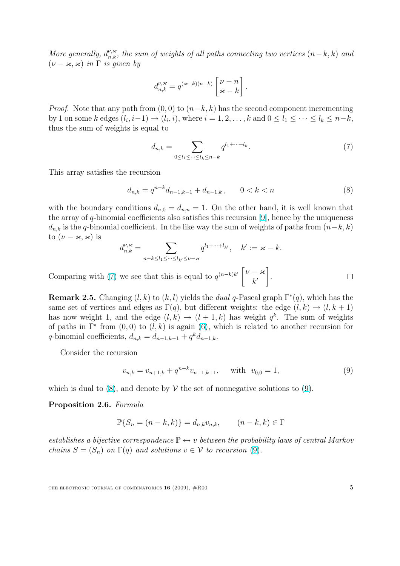<span id="page-4-0"></span>More generally,  $d_{n,k}^{\nu,\varkappa}$ , the sum of weights of all paths connecting two vertices  $(n-k, k)$  and  $(\nu - \varkappa, \varkappa)$  in  $\Gamma$  is given by

$$
d_{n,k}^{\nu,\varkappa} = q^{(\varkappa - k)(n-k)} \begin{bmatrix} \nu - n \\ \varkappa - k \end{bmatrix}.
$$

*Proof.* Note that any path from  $(0, 0)$  to  $(n-k, k)$  has the second component incrementing by 1 on some k edges  $(l_i, i-1) \rightarrow (l_i, i)$ , where  $i = 1, 2, \ldots, k$  and  $0 \leq l_1 \leq \cdots \leq l_k \leq n-k$ , thus the sum of weights is equal to

$$
d_{n,k} = \sum_{0 \le l_1 \le \dots \le l_k \le n-k} q^{l_1 + \dots + l_k}.
$$
 (7)

This array satisfies the recursion

$$
d_{n,k} = q^{n-k} d_{n-1,k-1} + d_{n-1,k}, \qquad 0 < k < n \tag{8}
$$

with the boundary conditions  $d_{n,0} = d_{n,n} = 1$ . On the other hand, it is well known that the array of q-binomial coefficients also satisfies this recursion [9], hence by the uniqueness  $d_{n,k}$  is the q-binomial coefficient. In the like way the sum of weights of paths from  $(n-k, k)$ to  $(\nu - \varkappa, \varkappa)$  is  $\overline{\phantom{a}}$ 

$$
d_{n,k}^{\nu,\varkappa} = \sum_{n-k \le l_1 \le \cdots \le l_{k'} \le \nu - \varkappa} q^{l_1 + \cdots + l_{k'}}, \quad k' := \varkappa - k.
$$

Comparing with (7) we see that this is equal to  $q^{(n-k)k'}\begin{bmatrix} \nu - \varkappa & -\varkappa \\ 0 & \nu \end{bmatrix}$  $k'$ | $\cdot$ 

**Remark 2.5.** Changing  $(l, k)$  to  $(k, l)$  yields the *dual q*-Pascal graph  $\Gamma^*(q)$ , which has the same set of vertices and edges as  $\Gamma(q)$ , but different weights: the edge  $(l, k) \rightarrow (l, k + 1)$ has now weight 1, and the edge  $(l,k) \rightarrow (l+1,k)$  has weight  $q^k$ . The sum of weights of paths in  $\Gamma^*$  from  $(0,0)$  to  $(l,k)$  is again  $(6)$ , which is related to another recursion for q-binomial coefficients,  $d_{n,k} = d_{n-1,k-1} + q^k d_{n-1,k}$ .

Consider the recursion

$$
v_{n,k} = v_{n+1,k} + q^{n-k} v_{n+1,k+1}, \quad \text{with} \quad v_{0,0} = 1,
$$
\n
$$
(9)
$$

which is dual to  $(8)$ , and denote by  $\mathcal V$  the set of nonnegative solutions to  $(9)$ .

#### Proposition 2.6. Formula

$$
\mathbb{P}\{S_n = (n-k,k)\} = d_{n,k}v_{n,k}, \qquad (n-k,k) \in \Gamma
$$

establishes a bijective correspondence  $\mathbb{P} \leftrightarrow v$  between the probability laws of central Markov chains  $S = (S_n)$  on  $\Gamma(q)$  and solutions  $v \in V$  to recursion (9).

THE ELECTRONIC JOURNAL OF COMBINATORICS  $16$  (2009),  $\#R00$  5

 $\Box$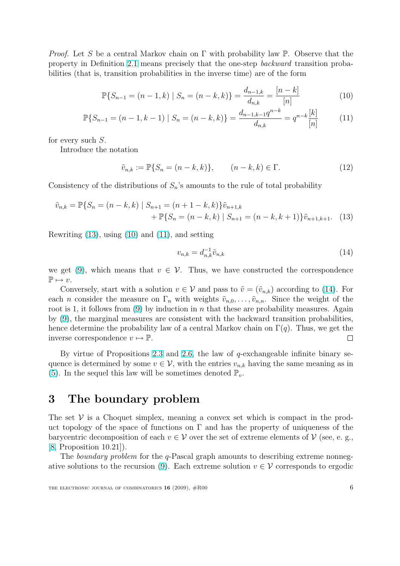<span id="page-5-0"></span>*Proof.* Let S be a central Markov chain on  $\Gamma$  with probability law P. Observe that the property in Definition 2.1 means precisely that the one-step backward transition probabilities (that is, transition probabilities in the inverse time) are of the form

$$
\mathbb{P}\{S_{n-1} = (n-1,k) \mid S_n = (n-k,k)\} = \frac{d_{n-1,k}}{d_{n,k}} = \frac{[n-k]}{[n]}
$$
(10)

$$
\mathbb{P}\{S_{n-1} = (n-1, k-1) \mid S_n = (n-k, k)\} = \frac{d_{n-1,k-1}q^{n-k}}{d_{n,k}} = q^{n-k} \frac{[k]}{[n]}
$$
(11)

for every such S.

Introduce the notation

$$
\tilde{v}_{n,k} := \mathbb{P}\{S_n = (n-k,k)\}, \qquad (n-k,k) \in \Gamma. \tag{12}
$$

Consistency of the distributions of  $S_n$ 's amounts to the rule of total probability

$$
\tilde{v}_{n,k} = \mathbb{P}\{S_n = (n-k,k) \mid S_{n+1} = (n+1-k,k)\}\tilde{v}_{n+1,k} + \mathbb{P}\{S_n = (n-k,k) \mid S_{n+1} = (n-k,k+1)\}\tilde{v}_{n+1,k+1}.
$$
 (13)

Rewriting (13), using (10) and (11), and setting

$$
v_{n,k} = d_{n,k}^{-1} \tilde{v}_{n,k}
$$
\n(14)

we get (9), which means that  $v \in V$ . Thus, we have constructed the correspondence  $\mathbb{P} \mapsto v.$ 

Conversely, start with a solution  $v \in V$  and pass to  $\tilde{v} = (\tilde{v}_{n,k})$  according to (14). For each *n* [con](#page-4-0)sider the measure on  $\Gamma_n$  with weights  $\tilde{v}_{n,0}, \ldots, \tilde{v}_{n,n}$ . Since the weight of the root is 1, it follows from (9) by induction in n that these are probability measures. Again by (9), the marginal measures are consistent with the backward transition probabilities, hence determine the probability law of a central Markov chain on  $\Gamma(q)$ . Thus, we get the inverse correspondence  $v \mapsto \mathbb{P}$ .  $\Box$ 

[By](#page-4-0) virtue of Propositions 2.3 and 2.6, the law of  $q$ -exchangeable infinite binary sequence is determined by some  $v \in V$ , with the entries  $v_{n,k}$  having the same meaning as in (5). In the sequel this law will be sometimes denoted  $\mathbb{P}_v$ .

# [3](#page-2-0) The boundary problem

The set  $V$  is a Choquet simplex, meaning a convex set which is compact in the product topology of the space of functions on  $\Gamma$  and has the property of uniqueness of the barycentric decomposition of each  $v \in V$  over the set of extreme elements of  $V$  (see, e.g., [8, Proposition 10.21]).

The *boundary problem* for the q-Pascal graph amounts to describing extreme nonnegative solutions to the recursion (9). Each extreme solution  $v \in V$  corresponds to ergodic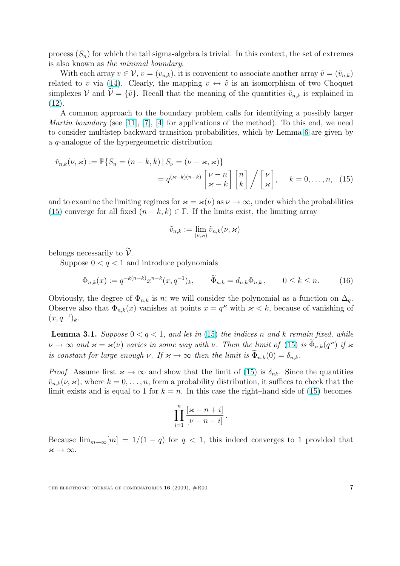<span id="page-6-0"></span>process  $(S_n)$  for which the tail sigma-algebra is trivial. In this context, the set of extremes is also known as the minimal boundary.

With each array  $v \in V$ ,  $v = (v_{n,k})$ , it is convenient to associate another array  $\tilde{v} = (\tilde{v}_{n,k})$ related to v via (14). Clearly, the mapping  $v \leftrightarrow \tilde{v}$  is an isomorphism of two Choquet simplexes V and  $\tilde{\mathcal{V}} = {\tilde{v}}$ . Recall that the meaning of the quantities  $\tilde{v}_{n,k}$  is explained in (12).

A common a[ppro](#page-5-0)ach to the boundary problem calls for identifying a possibly larger *Martin boundary* (see [11], [7], [4] for applications of the method). To this end, we need [to c](#page-5-0)onsider multistep backward transition probabilities, which by Lemma 6 are given by a q-analogue of the hypergeometric distribution

$$
\tilde{v}_{n,k}(\nu,\varkappa) := \mathbb{P}\{S_n = (n-k,k) \mid S_\nu = (\nu - \varkappa, \varkappa)\}
$$

$$
= q^{(\varkappa - k)(n-k)} \left[\frac{\nu - n}{\varkappa - k}\right] \left[\frac{n}{k}\right] / \left[\frac{\nu}{\varkappa}\right], \quad k = 0, \dots, n, \quad (15)
$$

and to examine the limiting regimes for  $\varkappa = \varkappa(\nu)$  as  $\nu \to \infty$ , under which the probabilities (15) converge for all fixed  $(n - k, k) \in \Gamma$ . If the limits exist, the limiting array

$$
\tilde{v}_{n,k} := \lim_{(\nu,\varkappa)} \tilde{v}_{n,k}(\nu,\varkappa)
$$

belongs necessarily to  $\widetilde{\mathcal{V}}$ .

Suppose  $0 < q < 1$  and introduce polynomials

$$
\Phi_{n,k}(x) := q^{-k(n-k)} x^{n-k} (x, q^{-1})_k, \qquad \widetilde{\Phi}_{n,k} = d_{n,k} \Phi_{n,k}, \qquad 0 \le k \le n. \tag{16}
$$

Obviously, the degree of  $\Phi_{n,k}$  is n; we will consider the polynomial as a function on  $\Delta_q$ . Observe also that  $\Phi_{n,k}(x)$  vanishes at points  $x = q^x$  with  $x < k$ , because of vanishing of  $(x, q^{-1})_k$ .

**Lemma 3.1.** Suppose  $0 < q < 1$ , and let in (15) the indices n and k remain fixed, while  $\nu \to \infty$  and  $\varkappa = \varkappa(\nu)$  varies in some way with  $\nu$ . Then the limit of (15) is  $\widetilde{\Phi}_{n,k}(q^{\varkappa})$  if  $\varkappa$ is constant for large enough  $\nu$ . If  $\varkappa \to \infty$  then the limit is  $\Phi_{n,k}(0) = \delta_{n,k}$ .

*Proof.* Assume first  $\varkappa \to \infty$  and show that the limit of (15) is  $\delta_{nk}$ . Since the quantities  $\tilde{v}_{n,k}(\nu,\varkappa)$ , where  $k=0,\ldots,n$ , form a probability distribution, it suffices to check that the limit exists and is equal to 1 for  $k = n$ . In this case the right–hand side of (15) becomes

$$
\prod_{i=1}^n\frac{[\varkappa-n+i]}{[\nu-n+i]}.
$$

Because  $\lim_{m\to\infty} [m] = 1/(1-q)$  for  $q < 1$ , this indeed converges to 1 provided that  $\varkappa \to \infty$ .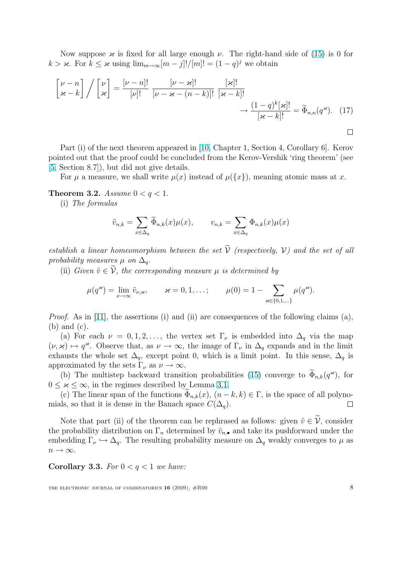<span id="page-7-0"></span>Now suppose  $\varkappa$  is fixed for all large enough  $\nu$ . The right-hand side of (15) is 0 for  $k > \varkappa$ . For  $k \leq \varkappa$  using  $\lim_{m \to \infty} [m-j]!/[m]! = (1-q)^j$  we obtain

$$
\begin{bmatrix} \nu - n \\ \varkappa - k \end{bmatrix} / \begin{bmatrix} \nu \\ \varkappa \end{bmatrix} = \frac{[\nu - n]!}{[\nu]!} \frac{[\nu - \varkappa]!}{[\nu - \varkappa - (n - k)]!} \frac{[\varkappa]!}{[\varkappa - k]!} \longrightarrow \frac{(1 - q)^k [\varkappa]!}{[\varkappa - k]!} = \widetilde{\Phi}_{n,n}(q^{\varkappa}). \tag{17}
$$

Part (i) of the next theorem appeared in [10, Chapter 1, Section 4, Corollary 6]. Kerov pointed out that the proof could be concluded from the Kerov-Vershik 'ring theorem' (see [5, Section 8.7]), but did not give details.

For  $\mu$  a measure, we shall write  $\mu(x)$  ins[tead](#page-15-0) of  $\mu({x})$ , meaning atomic mass at x.

**Theorem 3.2.** Assume  $0 < q < 1$ .

(i) The formulas

$$
\tilde{v}_{n,k} = \sum_{x \in \Delta_q} \tilde{\Phi}_{n,k}(x) \mu(x), \qquad v_{n,k} = \sum_{x \in \Delta_q} \Phi_{n,k}(x) \mu(x)
$$

establish a linear homeomorphism between the set  $\tilde{V}$  (respectively, V) and the set of all probability measures  $\mu$  on  $\Delta_q$ .

(ii) Given  $\tilde{v} \in \tilde{\mathcal{V}}$ , the corresponding measure  $\mu$  is determined by

$$
\mu(q^{\varkappa}) = \lim_{\nu \to \infty} \tilde{v}_{\nu, \varkappa}, \qquad \varkappa = 0, 1, \ldots; \qquad \mu(0) = 1 - \sum_{\varkappa \in \{0, 1, \ldots\}} \mu(q^{\varkappa}).
$$

*Proof.* As in [11], the assertions (i) and (ii) are consequences of the following claims (a), (b) and (c).

(a) For each  $\nu = 0, 1, 2, \ldots$ , the vertex set  $\Gamma_{\nu}$  is embedded into  $\Delta_{q}$  via the map  $(\nu, \varkappa) \mapsto q^{\varkappa}$ . [Ob](#page-15-0)serve that, as  $\nu \to \infty$ , the image of  $\Gamma_{\nu}$  in  $\Delta_q$  expands and in the limit exhausts the whole set  $\Delta_q$ , except point 0, which is a limit point. In this sense,  $\Delta_q$  is approximated by the sets  $\Gamma_{\nu}$  as  $\nu \to \infty$ .

(b) The multistep backward transition probabilities (15) converge to  $\widetilde{\Phi}_{n,k}(q^{\varkappa})$ , for  $0 \leq \varkappa \leq \infty$ , in the regimes described by Lemma 3.1.

(c) The linear span of the functions  $\Phi_{n,k}(x)$ ,  $(n-k, k) \in \Gamma$ , is the space of all polynomials, so that it is dense in the Banach space  $C(\Delta_q)$ .  $\Box$ 

Note that part (ii) of the theorem can be rep[hras](#page-6-0)ed as follows: given  $\tilde{v} \in \tilde{\mathcal{V}}$ , consider the probability distribution on  $\Gamma_n$  determined by  $\tilde{v}_{n,\bullet}$  and take its pushforward under the embedding  $\Gamma_{\nu} \hookrightarrow \Delta_q$ . The resulting probability measure on  $\Delta_q$  weakly converges to  $\mu$  as  $n \to \infty$ .

Corollary 3.3. For  $0 < q < 1$  we have:

THE ELECTRONIC JOURNAL OF COMBINATORICS  $16$  (2009),  $\#R00$  8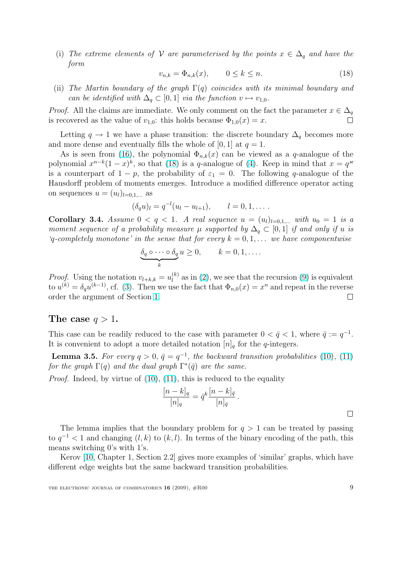(i) The extreme elements of V are parameterised by the points  $x \in \Delta_q$  and have the form

$$
v_{n,k} = \Phi_{n,k}(x), \qquad 0 \le k \le n. \tag{18}
$$

(ii) The Martin boundary of the graph  $\Gamma(q)$  coincides with its minimal boundary and can be identified with  $\Delta_q \subset [0,1]$  via the function  $v \mapsto v_{1,0}$ .

*Proof.* All the claims are immediate. We only comment on the fact the parameter  $x \in \Delta_q$ is recovered as the value of  $v_{1,0}$ : this holds because  $\Phi_{1,0}(x) = x$ .  $\Box$ 

Letting  $q \to 1$  we have a phase transition: the discrete boundary  $\Delta_q$  becomes more and more dense and eventually fills the whole of  $[0, 1]$  at  $q = 1$ .

As is seen from (16), the polynomial  $\Phi_{n,k}(x)$  can be viewed as a q-analogue of the polynomial  $x^{n-k}(1-x)^k$ , so that (18) is a q-analogue of (4). Keep in mind that  $x = q^{\infty}$ is a counterpart of  $1 - p$ , the probability of  $\varepsilon_1 = 0$ . The following q-analogue of the Hausdorff problem o[f m](#page-6-0)oments emerges. Introduce a modified difference operator acting on sequences  $u = (u_l)_{l=0,1,\dots}$  as

$$
(\delta_q u)_l = q^{-l}(u_l - u_{l+1}), \qquad l = 0, 1, \dots.
$$

Corollary 3.4. Assume  $0 < q < 1$ . A real sequence  $u = (u_l)_{l=0,1,...}$  with  $u_0 = 1$  is a moment sequence of a probability measure  $\mu$  supported by  $\Delta_q \subset [0,1]$  if and only if u is 'q-completely monotone' in the sense that for every  $k = 0, 1, \ldots$  we have componentwise

$$
\underbrace{\delta_q \circ \cdots \circ \delta_q}_{k} u \geq 0, \qquad k = 0, 1, \dots
$$

*Proof.* Using the notation  $v_{l+k,k} = u_l^{(k)}$  $\binom{k}{l}$  as in (2), we see that the recursion (9) is equivalent to  $u^{(k)} = \delta_q u^{(k-1)}$ , cf. (3). Then we use the fact that  $\Phi_{n,0}(x) = x^n$  and repeat in the reverse order the argument of Section 1.  $\Box$ 

#### The case  $q > 1$ .

This case can be readily redu[ced](#page-0-0) to the case with parameter  $0 < \bar{q} < 1$ , where  $\bar{q} := q^{-1}$ . It is convenient to adopt a more detailed notation  $[n]_q$  for the q-integers.

**Lemma 3.5.** For every  $q > 0$ ,  $\bar{q} = q^{-1}$ , the backward transition probabilities (10), (11) for the graph  $\Gamma(q)$  and the dual graph  $\Gamma^*(\bar{q})$  are the same.

*Proof.* Indeed, by virtue of  $(10)$ ,  $(11)$ , this is reduced to the equality

$$
\frac{[n-k]_q}{[n]_q} = \bar{q}^k \frac{[n-k]_{\bar{q}}}{[n]_{\bar{q}}}.
$$

The lemma implies that the boundary problem for  $q > 1$  can be treated by passing to  $q^{-1}$  < 1 and changing  $(l, k)$  to  $(k, l)$ . In terms of the binary encoding of the path, this means switching 0's with 1's.

Kerov [10, Chapter 1, Section 2.2] gives more examples of 'similar' graphs, which have different edge weights but the same backward transition probabilities.

 $\Box$ 

THE ELECTRONIC JOURNAL OF COMBINATORICS  $16$  (2009),  $\#R00$  9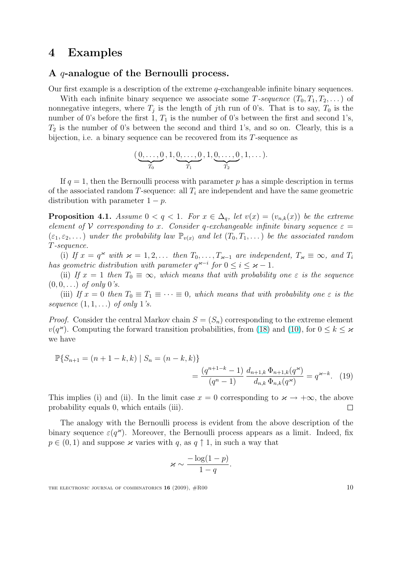# <span id="page-9-0"></span>4 Examples

#### A q-analogue of the Bernoulli process.

Our first example is a description of the extreme q-exchangeable infinite binary sequences.

With each infinite binary sequence we associate some T-sequence  $(T_0, T_1, T_2, \dots)$  of nonnegative integers, where  $T_j$  is the length of jth run of 0's. That is to say,  $T_0$  is the number of 0's before the first 1,  $T_1$  is the number of 0's between the first and second 1's,  $T_2$  is the number of 0's between the second and third 1's, and so on. Clearly, this is a bijection, i.e. a binary sequence can be recovered from its T-sequence as

$$
(\underbrace{0,\ldots,0}_{T_0},1,\underbrace{0,\ldots,0}_{T_1},1,\underbrace{0,\ldots,0}_{T_2},1,\ldots).
$$

If  $q = 1$ , then the Bernoulli process with parameter p has a simple description in terms of the associated random T-sequence: all  $T_i$  are independent and have the same geometric distribution with parameter  $1 - p$ .

**Proposition 4.1.** Assume  $0 < q < 1$ . For  $x \in \Delta_q$ , let  $v(x) = (v_{n,k}(x))$  be the extreme element of V corresponding to x. Consider q-exchangeable infinite binary sequence  $\varepsilon =$  $(\varepsilon_1, \varepsilon_2, \dots)$  under the probability law  $\mathbb{P}_{v(x)}$  and let  $(T_0, T_1, \dots)$  be the associated random T-sequence.

(i) If  $x = q^x$  with  $x = 1, 2, \ldots$  then  $T_0, \ldots, T_{x-1}$  are independent,  $T_x \equiv \infty$ , and  $T_i$ has geometric distribution with parameter  $q^{\varkappa-i}$  for  $0 \leq i \leq \varkappa - 1$ .

(ii) If  $x = 1$  then  $T_0 \equiv \infty$ , which means that with probability one  $\varepsilon$  is the sequence  $(0, 0, ...)$  of only 0's.

(iii) If  $x = 0$  then  $T_0 \equiv T_1 \equiv \cdots \equiv 0$ , which means that with probability one  $\varepsilon$  is the sequence  $(1, 1, \ldots)$  of only 1's.

*Proof.* Consider the central Markov chain  $S = (S_n)$  corresponding to the extreme element  $v(q^{\varkappa})$ . Computing the forward transition probabilities, from (18) and (10), for  $0 \leq k \leq \varkappa$ we have

$$
\mathbb{P}\{S_{n+1} = (n+1-k,k) \mid S_n = (n-k,k)\}
$$

$$
= \frac{(q^{n+1-k}-1)}{(q^n-1)} \frac{d_{n+1,k} \Phi_{n+1,k}(q^*)}{d_{n,k} \Phi_{n,k}(q^*)} = q^{*-k}.
$$
 (19)

This implies (i) and (ii). In the limit case  $x = 0$  corresponding to  $\varkappa \to +\infty$ , the above probability equals 0, which entails (iii).  $\Box$ 

The analogy with the Bernoulli process is evident from the above description of the binary sequence  $\varepsilon(q^*)$ . Moreover, the Bernoulli process appears as a limit. Indeed, fix  $p \in (0, 1)$  and suppose  $\varkappa$  varies with q, as  $q \uparrow 1$ , in such a way that

$$
\varkappa \sim \frac{-\log(1-p)}{1-q}.
$$

THE ELECTRONIC JOURNAL OF COMBINATORICS  $16$  (2009),  $\#R00$  10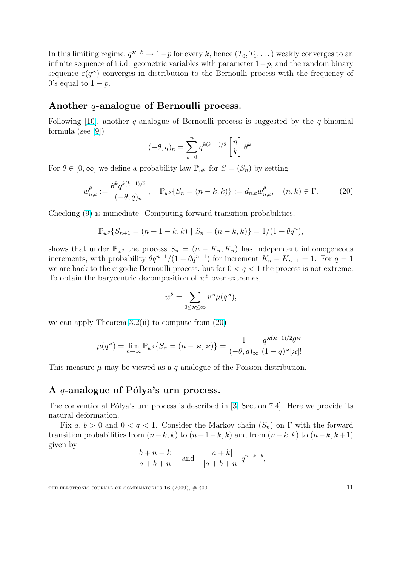In this limiting regime,  $q^{\varkappa-k} \to 1-p$  for every k, hence  $(T_0, T_1, \dots)$  weakly converges to an infinite sequence of i.i.d. geometric variables with parameter  $1-p$ , and the random binary sequence  $\varepsilon(q^*)$  converges in distribution to the Bernoulli process with the frequency of 0's equal to  $1 - p$ .

#### Another *q*-analogue of Bernoulli process.

Following [10], another q-analogue of Bernoulli process is suggested by the  $q$ -binomial formula (see [9]) ·  $\overline{a}$ 

$$
(-\theta, q)_n = \sum_{k=0}^n q^{k(k-1)/2} \begin{bmatrix} n \\ k \end{bmatrix} \theta^k.
$$

For  $\theta \in [0,\infty]$  we define a probability law  $\mathbb{P}_{w^{\theta}}$  for  $S = (S_n)$  by setting

$$
w_{n,k}^{\theta} := \frac{\theta^k q^{k(k-1)/2}}{(-\theta, q)_n}, \quad \mathbb{P}_{w^{\theta}}\{S_n = (n-k, k)\} := d_{n,k} w_{n,k}^{\theta}, \quad (n, k) \in \Gamma. \tag{20}
$$

Checking (9) is immediate. Computing forward transition probabilities,

$$
\mathbb{P}_{w^{\theta}}\{S_{n+1} = (n+1-k,k) \mid S_n = (n-k,k)\} = 1/(1+\theta q^n),
$$

shows tha[t u](#page-4-0)nder  $\mathbb{P}_{w^{\theta}}$  the process  $S_n = (n - K_n, K_n)$  has independent inhomogeneous increments, with probability  $\theta q^{n-1}/(1 + \theta q^{n-1})$  for increment  $K_n - K_{n-1} = 1$ . For  $q = 1$ we are back to the ergodic Bernoulli process, but for  $0 < q < 1$  the process is not extreme. To obtain the barycentric decomposition of  $w^{\theta}$  over extremes,

$$
w^{\theta} = \sum_{0 \leq \varkappa \leq \infty} v^{\varkappa} \mu(q^{\varkappa}),
$$

we can apply Theorem  $3.2(ii)$  to compute from  $(20)$ 

$$
\mu(q^{\varkappa}) = \lim_{n \to \infty} \mathbb{P}_{w^{\theta}} \{ S_n = (n - \varkappa, \varkappa) \} = \frac{1}{(-\theta, q)_{\infty}} \frac{q^{\varkappa(\varkappa - 1)/2} \theta^{\varkappa}}{(1 - q)^{\varkappa} [\varkappa]!}.
$$

This measure  $\mu$  may be viewed as a q-analogue of the Poisson distribution.

#### A  $q$ -analogue of Pólya's urn process.

The conventional Pólya's urn process is described in  $[3, Section 7.4]$ . Here we provide its natural deformation.

Fix  $a, b > 0$  and  $0 < q < 1$ . Consider the Markov chain  $(S_n)$  on  $\Gamma$  with the forward transition probabilities from  $(n-k, k)$  to  $(n+1-k, k)$  and from  $(n-k, k)$  to  $(n-k, k+1)$ given by

$$
\frac{[b+n-k]}{[a+b+n]} \quad \text{and} \quad \frac{[a+k]}{[a+b+n]} q^{n-k+b},
$$

THE ELECTRONIC JOURNAL OF COMBINATORICS  $16$  (2009),  $\#R00$  11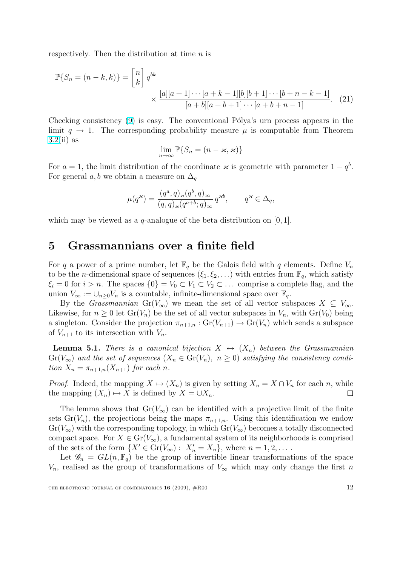<span id="page-11-0"></span>respectively. Then the distribution at time  $n$  is

$$
\mathbb{P}\{S_n = (n-k,k)\} = \begin{bmatrix} n \\ k \end{bmatrix} q^{bk} \times \frac{[a][a+1]\cdots[a+k-1][b][b+1]\cdots[b+n-k-1]}{[a+b][a+b+1]\cdots[a+b+n-1]}.
$$
 (21)

Checking consistency (9) is easy. The conventional Pólya's urn process appears in the limit  $q \to 1$ . The corresponding probability measure  $\mu$  is computable from Theorem  $3.2(ii)$  as

$$
\lim_{n\to\infty}\mathbb{P}\{S_n=(n-\varkappa,\varkappa)\}
$$

For  $a = 1$ , the limit distribution of the coordinate  $\varkappa$  is geometric with parameter  $1 - q<sup>b</sup>$ . [For](#page-7-0) general a, b we obtain a measure on  $\Delta_q$ 

$$
\mu(q^{\varkappa})=\frac{(q^a,q)_{\varkappa}(q^b,q)_{\infty}}{(q,q)_{\varkappa}(q^{a+b};q)_{\infty}}\,q^{\varkappa b},\qquad q^{\varkappa}\in\Delta_q,
$$

which may be viewed as a  $q$ -analogue of the beta distribution on [0, 1].

### 5 Grassmannians over a finite field

For q a power of a prime number, let  $\mathbb{F}_q$  be the Galois field with q elements. Define  $V_n$ to be the *n*-dimensional space of sequences  $(\xi_1, \xi_2, \ldots)$  with entries from  $\mathbb{F}_q$ , which satisfy  $\xi_i = 0$  for  $i > n$ . The spaces  $\{0\} = V_0 \subset V_1 \subset V_2 \subset \ldots$  comprise a complete flag, and the union  $V_{\infty} := \bigcup_{n\geq 0} V_n$  is a countable, infinite-dimensional space over  $\mathbb{F}_q$ .

By the *Grassmannian* Gr( $V_{\infty}$ ) we mean the set of all vector subspaces  $X \subseteq V_{\infty}$ . Likewise, for  $n \geq 0$  let  $\text{Gr}(V_n)$  be the set of all vector subspaces in  $V_n$ , with  $\text{Gr}(V_0)$  being a singleton. Consider the projection  $\pi_{n+1,n} : Gr(V_{n+1}) \to Gr(V_n)$  which sends a subspace of  $V_{n+1}$  to its intersection with  $V_n$ .

**Lemma 5.1.** There is a canonical bijection  $X \leftrightarrow (X_n)$  between the Grassmannian  $Gr(V_{\infty})$  and the set of sequences  $(X_n \in Gr(V_n), n \geq 0)$  satisfying the consistency condition  $X_n = \pi_{n+1,n}(X_{n+1})$  for each n.

*Proof.* Indeed, the mapping  $X \mapsto (X_n)$  is given by setting  $X_n = X \cap V_n$  for each n, while the mapping  $(X_n) \mapsto X$  is defined by  $X = \cup X_n$ .  $\Box$ 

The lemma shows that  $Gr(V_{\infty})$  can be identified with a projective limit of the finite sets  $Gr(V_n)$ , the projections being the maps  $\pi_{n+1,n}$ . Using this identification we endow  $Gr(V_{\infty})$  with the corresponding topology, in which  $Gr(V_{\infty})$  becomes a totally disconnected compact space. For  $X \in Gr(V_\infty)$ , a fundamental system of its neighborhoods is comprised of the sets of the form  $\{X' \in \text{Gr}(V_{\infty}) : X'_n = X_n\}$ , where  $n = 1, 2, \dots$ .

Let  $\mathscr{G}_n = GL(n, \mathbb{F}_q)$  be the group of invertible linear transformations of the space  $V_n$ , realised as the group of transformations of  $V_\infty$  which may only change the first n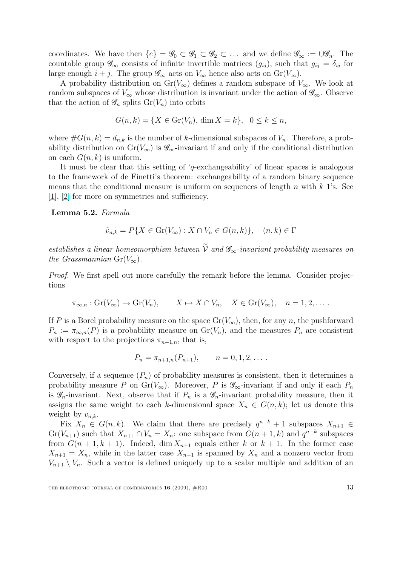coordinates. We have then  $\{e\} = \mathscr{G}_0 \subset \mathscr{G}_1 \subset \mathscr{G}_2 \subset \ldots$  and we define  $\mathscr{G}_{\infty} := \bigcup \mathscr{G}_n$ . The countable group  $\mathscr{G}_{\infty}$  consists of infinite invertible matrices  $(g_{ij})$ , such that  $g_{ij} = \delta_{ij}$  for large enough  $i + j$ . The group  $\mathscr{G}_{\infty}$  acts on  $V_{\infty}$  hence also acts on  $Gr(V_{\infty})$ .

A probability distribution on  $Gr(V_{\infty})$  defines a random subspace of  $V_{\infty}$ . We look at random subspaces of  $V_{\infty}$  whose distribution is invariant under the action of  $\mathscr{G}_{\infty}$ . Observe that the action of  $\mathscr{G}_n$  splits  $Gr(V_n)$  into orbits

$$
G(n,k) = \{ X \in \text{Gr}(V_n), \dim X = k \}, \ \ 0 \le k \le n,
$$

where  $\#G(n,k) = d_{n,k}$  is the number of k-dimensional subspaces of  $V_n$ . Therefore, a probability distribution on  $Gr(V_{\infty})$  is  $\mathscr{G}_{\infty}$ -invariant if and only if the conditional distribution on each  $G(n, k)$  is uniform.

It must be clear that this setting of 'q-exchangeability' of linear spaces is analogous to the framework of de Finetti's theorem: exchangeability of a random binary sequence means that the conditional measure is uniform on sequences of length n with  $k$  1's. See [1], [2] for more on symmetries and sufficiency.

Lemma 5.2. Formula

$$
\tilde{v}_{n,k} = P\{X \in \operatorname{Gr}(V_{\infty}) : X \cap V_n \in G(n,k)\}, \quad (n,k) \in \Gamma
$$

establishes a linear homeomorphism between  $\widetilde{V}$  and  $\mathscr{G}_{\infty}$ -invariant probability measures on the Grassmannian  $Gr(V_{\infty})$ .

*Proof.* We first spell out more carefully the remark before the lemma. Consider projections

$$
\pi_{\infty,n}: \mathrm{Gr}(V_{\infty}) \to \mathrm{Gr}(V_n), \qquad X \mapsto X \cap V_n, \quad X \in \mathrm{Gr}(V_{\infty}), \quad n = 1, 2, \dots.
$$

If P is a Borel probability measure on the space  $Gr(V_{\infty})$ , then, for any n, the pushforward  $P_n := \pi_{\infty,n}(P)$  is a probability measure on  $\mathrm{Gr}(V_n)$ , and the measures  $P_n$  are consistent with respect to the projections  $\pi_{n+1,n}$ , that is,

$$
P_n = \pi_{n+1,n}(P_{n+1}), \qquad n = 0, 1, 2, \dots.
$$

Conversely, if a sequence  $(P_n)$  of probability measures is consistent, then it determines a probability measure P on  $Gr(V_\infty)$ . Moreover, P is  $\mathscr{G}_\infty$ -invariant if and only if each  $P_n$ is  $\mathscr{G}_n$ -invariant. Next, observe that if  $P_n$  is a  $\mathscr{G}_n$ -invariant probability measure, then it assigns the same weight to each k-dimensional space  $X_n \in G(n, k)$ ; let us denote this weight by  $v_{n,k}$ .

Fix  $X_n \in G(n,k)$ . We claim that there are precisely  $q^{n-k} + 1$  subspaces  $X_{n+1} \in$  $Gr(V_{n+1})$  such that  $X_{n+1} \cap V_n = X_n$ : one subspace from  $G(n+1,k)$  and  $q^{n-k}$  subspaces from  $G(n+1, k+1)$ . Indeed, dim  $X_{n+1}$  equals either k or  $k+1$ . In the former case  $X_{n+1} = X_n$ , while in the latter case  $X_{n+1}$  is spanned by  $X_n$  and a nonzero vector from  $V_{n+1} \setminus V_n$ . Such a vector is defined uniquely up to a scalar multiple and addition of an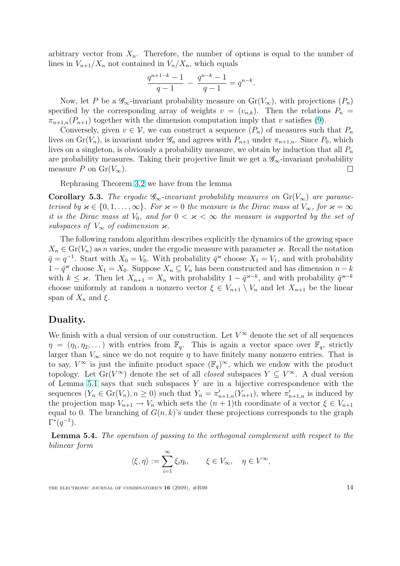arbitrary vector from  $X_n$ . Therefore, the number of options is equal to the number of lines in  $V_{n+1}/X_n$  not contained in  $V_n/X_n$ , which equals

$$
\frac{q^{n+1-k}-1}{q-1} - \frac{q^{n-k}-1}{q-1} = q^{n-k}.
$$

Now, let P be a  $\mathscr{G}_{\infty}$ -invariant probability measure on  $Gr(V_{\infty})$ , with projections  $(P_n)$ specified by the corresponding array of weights  $v = (v_{n,k})$ . Then the relations  $P_n =$  $\pi_{n+1,n}(P_{n+1})$  together with the dimension computation imply that v satisfies (9).

Conversely, given  $v \in V$ , we can construct a sequence  $(P_n)$  of measures such that  $P_n$ lives on  $Gr(V_n)$ , is invariant under  $\mathscr{G}_n$  and agrees with  $P_{n+1}$  under  $\pi_{n+1,n}$ . Since  $P_0$ , which lives on a singleton, is obviously a probability measure, we obtain by induction [th](#page-4-0)at all  $P_n$ are probability measures. Taking their projective limit we get a  $\mathscr{G}_{\infty}$ -invariant probability measure P on  $Gr(V_{\infty})$ .  $\Box$ 

Rephrasing Theorem 3.2 we have from the lemma

**Corollary 5.3.** The ergodic  $\mathscr{G}_{\infty}$ -invariant probability measures on  $Gr(V_{\infty})$  are parameterised by  $\varkappa \in \{0, 1, \ldots, \infty\}$ . For  $\varkappa = 0$  the measure is the Dirac mass at  $V_{\infty}$ , for  $\varkappa = \infty$ it is the Dirac mass at  $V_0$ [,](#page-7-0) and for  $0 < \varkappa < \infty$  the measure is supported by the set of subspaces of  $V_{\infty}$  of codimension  $\varkappa$ .

The following random algorithm describes explicitly the dynamics of the growing space  $X_n \in \mathrm{Gr}(V_n)$  as n varies, under the ergodic measure with parameter  $\varkappa$ . Recall the notation  $\bar{q} = q^{-1}$ . Start with  $X_0 = V_0$ . With probability  $\bar{q}^*$  choose  $X_1 = V_1$ , and with probability  $1 - \bar{q}^{\infty}$  choose  $X_1 = X_0$ . Suppose  $X_n \subseteq V_n$  has been constructed and has dimension  $n - k$ with  $k \leq \varkappa$ . Then let  $X_{n+1} = X_n$  with probability  $1 - \bar{q}^{\varkappa - k}$ , and with probability  $\bar{q}^{\varkappa - k}$ choose uniformly at random a nonzero vector  $\xi \in V_{n+1} \setminus V_n$  and let  $X_{n+1}$  be the linear span of  $X_n$  and  $\xi$ .

#### Duality.

We finish with a dual version of our construction. Let  $V^{\infty}$  denote the set of all sequences  $\eta = (\eta_1, \eta_2, \dots)$  with entries from  $\mathbb{F}_q$ . This is again a vector space over  $\mathbb{F}_q$ , strictly larger than  $V_{\infty}$  since we do not require  $\eta$  to have finitely many nonzero entries. That is to say,  $V^{\infty}$  is just the infinite product space  $(\mathbb{F}_q)^{\infty}$ , which we endow with the product topology. Let  $Gr(V^{\infty})$  denote the set of all *closed* subspaces  $Y \subseteq V^{\infty}$ . A dual version of Lemma 5.1 says that such subspaces  $Y$  are in a bijective correspondence with the sequences  $(Y_n \in \mathrm{Gr}(V_n), n \geq 0)$  such that  $Y_n = \pi'_{n+1,n}(Y_{n+1})$ , where  $\pi'_{n+1,n}$  is induced by the projection map  $V_{n+1} \to V_n$  which sets the  $(n+1)$ th coordinate of a vector  $\xi \in V_{n+1}$ equal to 0. [Th](#page-11-0)e branching of  $G(n, k)$ 's under these projections corresponds to the graph  $\Gamma^*(q^{-1})$ .

Lemma 5.4. The operation of passing to the orthogonal complement with respect to the bilinear form

$$
\langle \xi, \eta \rangle := \sum_{i=1}^{\infty} \xi_i \eta_i, \qquad \xi \in V_{\infty}, \quad \eta \in V^{\infty},
$$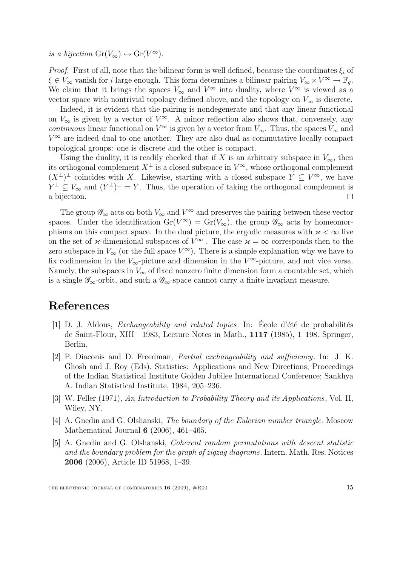<span id="page-14-0"></span>is a bijection  $Gr(V_{\infty}) \leftrightarrow Gr(V^{\infty})$ .

*Proof.* First of all, note that the bilinear form is well defined, because the coordinates  $\xi_i$  of  $\xi \in V_{\infty}$  vanish for *i* large enough. This form determines a bilinear pairing  $V_{\infty} \times V^{\infty} \to \mathbb{F}_q$ . We claim that it brings the spaces  $V_{\infty}$  and  $V^{\infty}$  into duality, where  $V^{\infty}$  is viewed as a vector space with nontrivial topology defined above, and the topology on  $V_{\infty}$  is discrete.

Indeed, it is evident that the pairing is nondegenerate and that any linear functional on  $V_{\infty}$  is given by a vector of  $V^{\infty}$ . A minor reflection also shows that, conversely, any continuous linear functional on  $V^{\infty}$  is given by a vector from  $V_{\infty}$ . Thus, the spaces  $V_{\infty}$  and  $V^{\infty}$  are indeed dual to one another. They are also dual as commutative locally compact topological groups: one is discrete and the other is compact.

Using the duality, it is readily checked that if X is an arbitrary subspace in  $V_{\infty}$ , then its orthogonal complement  $X^{\perp}$  is a closed subspace in  $V^{\infty}$ , whose orthogonal complement  $(X^{\perp})^{\perp}$  coincides with X. Likewise, starting with a closed subspace  $Y \subseteq V^{\infty}$ , we have  $Y^{\perp} \subseteq V_{\infty}$  and  $(Y^{\perp})^{\perp} = Y$ . Thus, the operation of taking the orthogonal complement is a bijection.  $\Box$ 

The group  $\mathscr{G}_{\infty}$  acts on both  $V_{\infty}$  and  $V^{\infty}$  and preserves the pairing between these vector spaces. Under the identification  $Gr(V^{\infty}) = Gr(V_{\infty})$ , the group  $\mathscr{G}_{\infty}$  acts by homeomorphisms on this compact space. In the dual picture, the ergodic measures with  $\varkappa < \infty$  live on the set of *κ*-dimensional subspaces of  $V^{\infty}$ . The case  $\varkappa = \infty$  corresponds then to the zero subspace in  $V_{\infty}$  (or the full space  $V^{\infty}$ ). There is a simple explanation why we have to fix codimension in the  $V_{\infty}$ -picture and dimension in the  $V^{\infty}$ -picture, and not vice versa. Namely, the subspaces in  $V_{\infty}$  of fixed nonzero finite dimension form a countable set, which is a single  $\mathscr{G}_{\infty}$ -orbit, and such a  $\mathscr{G}_{\infty}$ -space cannot carry a finite invariant measure.

# References

- [1] D. J. Aldous, *Exchangeability and related topics*. In: Ecole d'été de probabilités de Saint-Flour, XIII—1983, Lecture Notes in Math., 1117 (1985), 1–198. Springer, Berlin.
- [2] P. Diaconis and D. Freedman, Partial exchangeability and sufficiency. In: J. K. Ghosh and J. Roy (Eds). Statistics: Applications and New Directions; Proceedings of the Indian Statistical Institute Golden Jubilee International Conference; Sankhya A. Indian Statistical Institute, 1984, 205–236.
- [3] W. Feller (1971), An Introduction to Probability Theory and its Applications, Vol. II, Wiley, NY.
- [4] A. Gnedin and G. Olshanski, The boundary of the Eulerian number triangle. Moscow Mathematical Journal 6 (2006), 461–465.
- [5] A. Gnedin and G. Olshanski, Coherent random permutations with descent statistic and the boundary problem for the graph of zigzag diagrams. Intern. Math. Res. Notices 2006 (2006), Article ID 51968, 1–39.